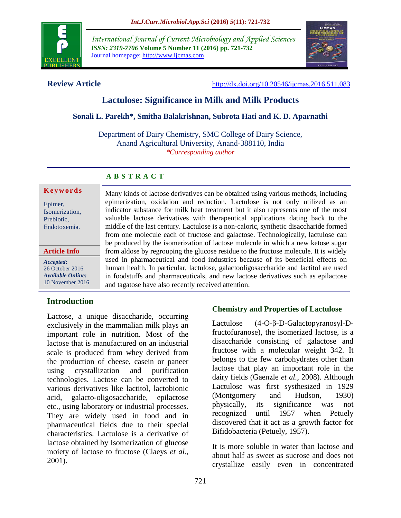

*International Journal of Current Microbiology and Applied Sciences ISSN: 2319-7706* **Volume 5 Number 11 (2016) pp. 721-732** Journal homepage: http://www.ijcmas.com



**Review Article** <http://dx.doi.org/10.20546/ijcmas.2016.511.083>

# **Lactulose: Significance in Milk and Milk Products**

#### **Sonali L. Parekh\*, Smitha Balakrishnan, Subrota Hati and K. D. Aparnathi**

Department of Dairy Chemistry, SMC College of Dairy Science, Anand Agricultural University, Anand-388110, India *\*Corresponding author*

and tagatose have also recently received attention.

Many kinds of lactose derivatives can be obtained using various methods, including epimerization, oxidation and reduction. Lactulose is not only utilized as an indicator substance for milk heat treatment but it also represents one of the most valuable lactose derivatives with therapeutical applications dating back to the middle of the last century. Lactulose is a non-caloric, synthetic disaccharide formed from one molecule each of fructose and galactose. Technologically, lactulose can be produced by the isomerization of lactose molecule in which a new ketose sugar from aldose by regrouping the glucose residue to the fructose molecule. It is widely used in pharmaceutical and food industries because of its beneficial effects on human health. In particular, lactulose, galactooligosaccharide and lactitol are used in foodstuffs and pharmaceuticals, and new lactose derivatives such as epilactose

# **A B S T R A C T**

#### **K e y w o r d s**

Epimer, Isomerization, Prebiotic, Endotoxemia.

#### **Article Info**

*Accepted:*  26 October 2016 *Available Online:* 10 November 2016

# **Introduction**

Lactose, a unique disaccharide, occurring exclusively in the mammalian milk plays an important role in nutrition. Most of the lactose that is manufactured on an industrial scale is produced from whey derived from the production of cheese, casein or paneer using crystallization and purification technologies. Lactose can be converted to various derivatives like lactitol, lactobionic acid, galacto-oligosaccharide, epilactose etc., using laboratory or industrial processes. They are widely used in food and in pharmaceutical fields due to their special characteristics. Lactulose is a derivative of lactose obtained by Isomerization of glucose moiety of lactose to fructose (Claeys *et al.,* 2001).

dairy fields (Gaenzle *et al.,* 2008). Although Lactulose was first systhesized in 1929 (Montgomery and Hudson, 1930) physically, its significance was not recognized until 1957 when Petuely discovered that it act as a growth factor for Bifidobacteria (Petuely, 1957).

**Chemistry and Properties of Lactulose**

Lactulose (4-O-β-D-Galactopyranosyl-Dfructofuranose), the isomerized lactose, is a disaccharide consisting of galactose and fructose with a molecular weight 342. It belongs to the few carbohydrates other than lactose that play an important role in the

It is more soluble in water than lactose and about half as sweet as sucrose and does not crystallize easily even in concentrated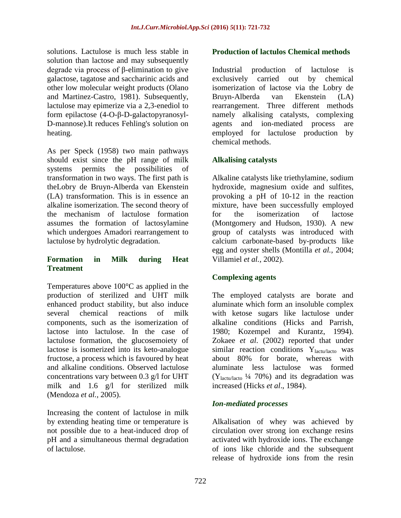solutions. Lactulose is much less stable in solution than lactose and may subsequently degrade via process of β-elimination to give galactose, tagatose and saccharinic acids and other low molecular weight products (Olano and Martinez-Castro, 1981). Subsequently, lactulose may epimerize via a 2,3-enediol to form epilactose (4-O-β-D-galactopyranosyl-D-mannose).It reduces Fehling's solution on heating.

As per Speck (1958) two main pathways should exist since the pH range of milk systems permits the possibilities of transformation in two ways. The first path is theLobry de Bruyn-Alberda van Ekenstein (LA) transformation. This is in essence an alkaline isomerization. The second theory of the mechanism of lactulose formation assumes the formation of lactosylamine which undergoes Amadori rearrangement to lactulose by hydrolytic degradation.

#### **Formation in Milk during Heat Treatment**

Temperatures above 100°C as applied in the production of sterilized and UHT milk enhanced product stability, but also induce several chemical reactions of milk components, such as the isomerization of lactose into lactulose. In the case of lactulose formation, the glucosemoiety of lactose is isomerized into its keto-analogue fructose, a process which is favoured by heat and alkaline conditions. Observed lactulose concentrations vary between 0.3 g/l for UHT milk and 1.6 g/l for sterilized milk (Mendoza *et al.,* 2005).

Increasing the content of lactulose in milk by extending heating time or temperature is not possible due to a heat-induced drop of pH and a simultaneous thermal degradation of lactulose.

#### **Production of lactulos Chemical methods**

Industrial production of lactulose is exclusively carried out by chemical isomerization of lactose via the Lobry de Bruyn-Alberda van Ekenstein (LA) rearrangement. Three different methods namely alkalising catalysts, complexing agents and ion-mediated process are employed for lactulose production by chemical methods.

### **Alkalising catalysts**

Alkaline catalysts like triethylamine, sodium hydroxide, magnesium oxide and sulfites, provoking a pH of 10-12 in the reaction mixture, have been successfully employed for the isomerization of lactose (Montgomery and Hudson, 1930). A new group of catalysts was introduced with calcium carbonate-based by-products like egg and oyster shells (Montilla *et al.,* 2004; Villamiel *et al.,* 2002).

### **Complexing agents**

The employed catalysts are borate and aluminate which form an insoluble complex with ketose sugars like lactulose under alkaline conditions (Hicks and Parrish, 1980; Kozempel and Kurantz, 1994). Zokaee *et al*. (2002) reported that under similar reaction conditions  $Y<sub>lactu/lacto</sub>$  was about 80% for borate, whereas with aluminate less lactulose was formed  $(Y<sub>lactu/lacto</sub> 1/4 70%)$  and its degradation was increased (Hicks *et al*., 1984).

### *Ion-mediated processes*

Alkalisation of whey was achieved by circulation over strong ion exchange resins activated with hydroxide ions. The exchange of ions like chloride and the subsequent release of hydroxide ions from the resin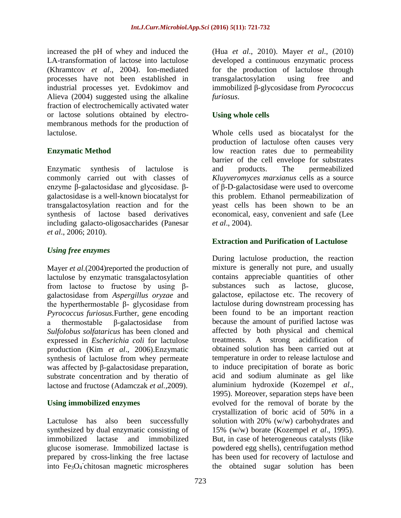increased the pH of whey and induced the LA-transformation of lactose into lactulose (Khramtcov *et al*., 2004). Ion-mediated processes have not been established in industrial processes yet. Evdokimov and Alieva (2004) suggested using the alkaline fraction of electrochemically activated water or lactose solutions obtained by electromembranous methods for the production of lactulose.

# **Enzymatic Method**

Enzymatic synthesis of lactulose is commonly carried out with classes of enzyme β-galactosidase and glycosidase. βgalactosidase is a well-known biocatalyst for transgalactosylation reaction and for the synthesis of lactose based derivatives including galacto-oligosaccharides (Panesar *et al*., 2006; 2010).

# *Using free enzymes*

Mayer *et al.*(2004)reported the production of lactulose by enzymatic transgalactosylation from lactose to fructose by using βgalactosidase from *Aspergillus oryzae* and the hyperthermostable β- glycosidase from *Pyrococcus furiosus.*Further, gene encoding a thermostable β-galactosidase from *Sulfolobus solfataricus* has been cloned and expressed in *Escherichia coli* for lactulose production (Kim *et al*., 2006).Enzymatic synthesis of lactulose from whey permeate was affected by β-galactosidase preparation, substrate concentration and by theratio of lactose and fructose (Adamczak *et al.,*2009).

### **Using immobilized enzymes**

Lactulose has also been successfully synthesized by dual enzymatic consisting of immobilized lactase and immobilized glucose isomerase. Immobilized lactase is prepared by cross-linking the free lactase into Fe<sub>3</sub>O<sub>4</sub> chitosan magnetic microspheres

(Hua *et al*., 2010). Mayer *et al*., (2010) developed a continuous enzymatic process for the production of lactulose through transgalactosylation using free and immobilized β-glycosidase from *Pyrococcus furiosus*.

# **Using whole cells**

Whole cells used as biocatalyst for the production of lactulose often causes very low reaction rates due to permeability barrier of the cell envelope for substrates and products. The permeabilized *Kluyveromyces marxianus* cells as a source of β-D-galactosidase were used to overcome this problem. Ethanol permeabilization of yeast cells has been shown to be an economical, easy, convenient and safe (Lee *et al*., 2004).

# **Extraction and Purification of Lactulose**

During lactulose production, the reaction mixture is generally not pure, and usually contains appreciable quantities of other substances such as lactose, glucose, galactose, epilactose etc. The recovery of lactulose during downstream processing has been found to be an important reaction because the amount of purified lactose was affected by both physical and chemical treatments. A strong acidification of obtained solution has been carried out at temperature in order to release lactulose and to induce precipitation of borate as boric acid and sodium aluminate as gel like aluminium hydroxide (Kozempel *et al*., 1995). Moreover, separation steps have been evolved for the removal of borate by the crystallization of boric acid of 50% in a solution with 20% (w/w) carbohydrates and 15% (w/w) borate (Kozempel *et al*., 1995). But, in case of heterogeneous catalysts (like powdered egg shells), centrifugation method has been used for recovery of lactulose and the obtained sugar solution has been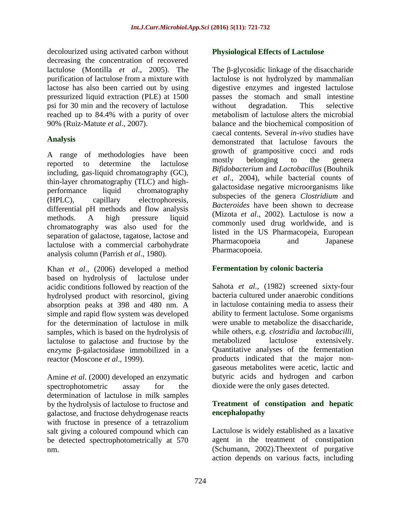decolourized using activated carbon without decreasing the concentration of recovered lactulose (Montilla *et al*., 2005). The purification of lactulose from a mixture with lactose has also been carried out by using pressurized liquid extraction (PLE) at 1500 psi for 30 min and the recovery of lactulose reached up to 84.4% with a purity of over 90% (Ruiz-Matute *et al*., 2007).

#### **Analysis**

A range of methodologies have been reported to determine the lactulose including, gas-liquid chromatography (GC), thin-layer chromatography (TLC) and highperformance liquid chromatography (HPLC), capillary electrophoresis, differential pH methods and flow analysis methods. A high pressure liquid chromatography was also used for the separation of galactose, tagatose, lactose and lactulose with a commercial carbohydrate analysis column (Parrish *et al*., 1980).

Khan *et al*., (2006) developed a method based on hydrolysis of lactulose under acidic conditions followed by reaction of the hydrolysed product with resorcinol, giving absorption peaks at 398 and 480 nm. A simple and rapid flow system was developed for the determination of lactulose in milk samples, which is based on the hydrolysis of lactulose to galactose and fructose by the enzyme β-galactosidase immobilized in a reactor (Moscone *et al*., 1999).

Amine *et al*. (2000) developed an enzymatic spectrophotometric assay for the determination of lactulose in milk samples by the hydrolysis of lactulose to fructose and galactose, and fructose dehydrogenase reacts with fructose in presence of a tetrazolium salt giving a coloured compound which can be detected spectrophotometrically at 570 nm.

#### **Physiological Effects of Lactulose**

The β-glycosidic linkage of the disaccharide lactulose is not hydrolyzed by mammalian digestive enzymes and ingested lactulose passes the stomach and small intestine without degradation. This selective metabolism of lactulose alters the microbial balance and the biochemical composition of caecal contents. Several *in-vivo* studies have demonstrated that lactulose favours the growth of grampositive cocci and rods mostly belonging to the genera *Bifidobacterium* and *Lactobacillus* (Bouhnik *et al*., 2004), while bacterial counts of galactosidase negative microorganisms like subspecies of the genera *Clostridium* and *Bacteroides* have been shown to decrease (Mizota *et al*., 2002). Lactulose is now a commonly used drug worldwide, and is listed in the US Pharmacopeia, European Pharmacopoeia and Japanese Pharmacopoeia.

### **Fermentation by colonic bacteria**

Sahota *et al.,* (1982) screened sixty-four bacteria cultured under anaerobic conditions in lactulose containing media to assess their ability to ferment lactulose. Some organisms were unable to metabolize the disaccharide, while others, e.g. *clostridia* and *lactobacilli*, metabolized lactulose extensively. Quantitative analyses of the fermentation products indicated that the major nongaseous metabolites were acetic, lactic and butyric acids and hydrogen and carbon dioxide were the only gases detected.

### **Treatment of constipation and hepatic encephalopathy**

Lactulose is widely established as a laxative agent in the treatment of constipation (Schumann, 2002).Theextent of purgative action depends on various facts, including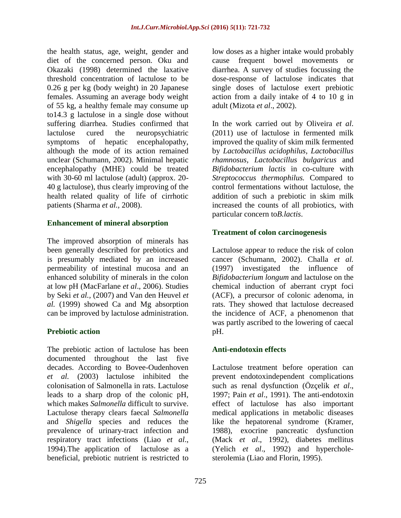the health status, age, weight, gender and diet of the concerned person. Oku and Okazaki (1998) determined the laxative threshold concentration of lactulose to be 0.26 g per kg (body weight) in 20 Japanese females. Assuming an average body weight of 55 kg, a healthy female may consume up to14.3 g lactulose in a single dose without suffering diarrhea. Studies confirmed that lactulose cured the neuropsychiatric symptoms of hepatic encephalopathy, although the mode of its action remained unclear (Schumann, 2002). Minimal hepatic encephalopathy (MHE) could be treated with 30-60 ml lactulose (adult) (approx. 20- 40 g lactulose), thus clearly improving of the health related quality of life of cirrhotic patients (Sharma *et al.,* 2008).

#### **Enhancement of mineral absorption**

The improved absorption of minerals has been generally described for prebiotics and is presumably mediated by an increased permeability of intestinal mucosa and an enhanced solubility of minerals in the colon at low pH (MacFarlane *et al*., 2006). Studies by Seki *et al.,* (2007) and Van den Heuvel *et al.* (1999) showed Ca and Mg absorption can be improved by lactulose administration.

### **Prebiotic action**

The prebiotic action of lactulose has been documented throughout the last five decades. According to Bovee-Oudenhoven *et al.* (2003) lactulose inhibited the colonisation of Salmonella in rats. Lactulose leads to a sharp drop of the colonic pH, which makes *Salmonella* difficult to survive. Lactulose therapy clears faecal *Salmonella* and *Shigella* species and reduces the prevalence of urinary-tract infection and respiratory tract infections (Liao *et al*., 1994).The application of lactulose as a beneficial, prebiotic nutrient is restricted to

low doses as a higher intake would probably cause frequent bowel movements or diarrhea. A survey of studies focussing the dose-response of lactulose indicates that single doses of lactulose exert prebiotic action from a daily intake of 4 to 10 g in adult (Mizota *et al*., 2002).

In the work carried out by Oliveira *et al*. (2011) use of lactulose in fermented milk improved the quality of skim milk fermented by *Lactobacillus acidophilus, Lactobacillus rhamnosus, Lactobacillus bulgaricus* and *Bifidobacterium lactis* in co-culture with *Streptococcus thermophilus.* Compared to control fermentations without lactulose, the addition of such a prebiotic in skim milk increased the counts of all probiotics, with particular concern to*B.lactis*.

# **Treatment of colon carcinogenesis**

Lactulose appear to reduce the risk of colon cancer (Schumann, 2002). Challa *et al.* (1997) investigated the influence of *Bifidobacterium longum* and lactulose on the chemical induction of aberrant crypt foci (ACF), a precursor of colonic adenoma, in rats. They showed that lactulose decreased the incidence of ACF, a phenomenon that was partly ascribed to the lowering of caecal pH.

### **Anti-endotoxin effects**

Lactulose treatment before operation can prevent endotoxindependent complications such as renal dysfunction (Özçelik *et al*., 1997; Pain *et al*., 1991). The anti-endotoxin effect of lactulose has also important medical applications in metabolic diseases like the hepatorenal syndrome (Kramer, 1988), exocrine pancreatic dysfunction (Mack *et al*., 1992), diabetes mellitus (Yelich *et al*., 1992) and hypercholesterolemia (Liao and Florin, 1995).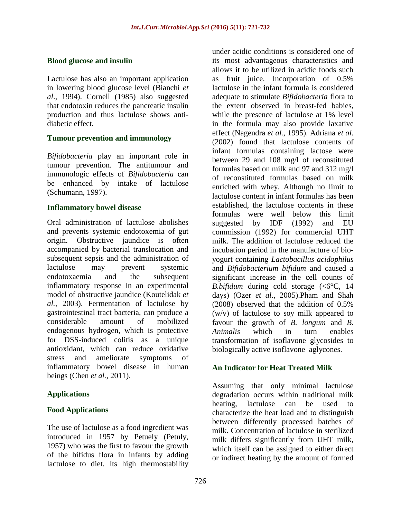### **Blood glucose and insulin**

Lactulose has also an important application in lowering blood glucose level (Bianchi *et al*., 1994). Cornell (1985) also suggested that endotoxin reduces the pancreatic insulin production and thus lactulose shows antidiabetic effect.

#### **Tumour prevention and immunology**

*Bifidobacteria* play an important role in tumour prevention. The antitumour and immunologic effects of *Bifidobacteria* can be enhanced by intake of lactulose (Schumann, 1997).

#### **Inflammatory bowel disease**

Oral administration of lactulose abolishes and prevents systemic endotoxemia of gut origin. Obstructive jaundice is often accompanied by bacterial translocation and subsequent sepsis and the administration of lactulose may prevent systemic endotoxaemia and the subsequent inflammatory response in an experimental model of obstructive jaundice (Koutelidak *et al.*, 2003). Fermentation of lactulose by gastrointestinal tract bacteria, can produce a considerable amount of mobilized endogenous hydrogen, which is protective for DSS-induced colitis as a unique antioxidant, which can reduce oxidative stress and ameliorate symptoms of inflammatory bowel disease in human beings (Chen *et al.,* 2011).

### **Applications**

### **Food Applications**

The use of lactulose as a food ingredient was introduced in 1957 by Petuely (Petuly, 1957) who was the first to favour the growth of the bifidus flora in infants by adding lactulose to diet. Its high thermostability

under acidic conditions is considered one of its most advantageous characteristics and allows it to be utilized in acidic foods such as fruit juice. Incorporation of 0.5% lactulose in the infant formula is considered adequate to stimulate *Bifidobacteria* flora to the extent observed in breast-fed babies, while the presence of lactulose at 1% level in the formula may also provide laxative effect (Nagendra *et al.,* 1995). Adriana *et al*. (2002) found that lactulose contents of infant formulas containing lactose were between 29 and 108 mg/l of reconstituted formulas based on milk and 97 and 312 mg/l of reconstituted formulas based on milk enriched with whey. Although no limit to lactulose content in infant formulas has been established, the lactulose contents in these formulas were well below this limit suggested by IDF (1992) and EU commission (1992) for commercial UHT milk. The addition of lactulose reduced the incubation period in the manufacture of bioyogurt containing *Lactobacillus acidophilus* and *Bifidobacterium bifidum* and caused a significant increase in the cell counts of *B.bifidum* during cold storage  $( $6^{\circ}C$ , 14$ days) (Ozer *et al.,* 2005).Pham and Shah (2008) observed that the addition of 0.5% (w/v) of lactulose to soy milk appeared to favour the growth of *B. longum* and *B. Animalis* which in turn enables transformation of isoflavone glycosides to biologically active isoflavone aglycones.

# **An Indicator for Heat Treated Milk**

Assuming that only minimal lactulose degradation occurs within traditional milk heating, lactulose can be used to characterize the heat load and to distinguish between differently processed batches of milk. Concentration of lactulose in sterilized milk differs significantly from UHT milk, which itself can be assigned to either direct or indirect heating by the amount of formed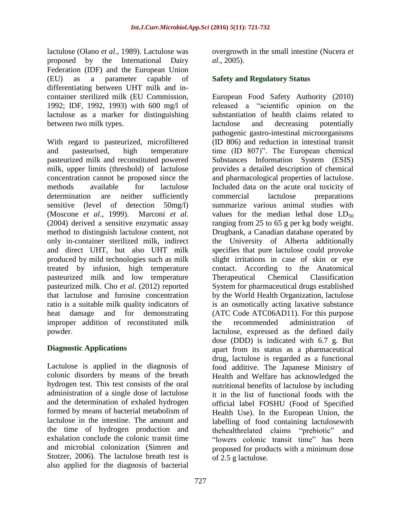lactulose (Olano *et al*., 1989). Lactulose was proposed by the International Dairy Federation (IDF) and the European Union (EU) as a parameter capable of differentiating between UHT milk and incontainer sterilized milk (EU Commission, 1992; IDF, 1992, 1993) with 600 mg/l of lactulose as a marker for distinguishing between two milk types.

With regard to pasteurized, microfiltered and pasteurised, high temperature pasteurized milk and reconstituted powered milk, upper limits (threshold) of lactulose concentration cannot be proposed since the methods available for lactulose determination are neither sufficiently sensitive (level of detection 50mg/l) (Moscone *et al*., 1999). Marconi *et al.* (2004) derived a sensitive enzymatic assay method to distinguish lactulose content, not only in-container sterilized milk, indirect and direct UHT, but also UHT milk produced by mild technologies such as milk treated by infusion, high temperature pasteurized milk and low temperature pasteurized milk. Cho *et al*. (2012) reported that lactulose and furosine concentration ratio is a suitable milk quality indicators of heat damage and for demonstrating improper addition of reconstituted milk powder.

### **Diagnostic Applications**

Lactulose is applied in the diagnosis of colonic disorders by means of the breath hydrogen test. This test consists of the oral administration of a single dose of lactulose and the determination of exhaled hydrogen formed by means of bacterial metabolism of lactulose in the intestine. The amount and the time of hydrogen production and exhalation conclude the colonic transit time and microbial colonization (Simren and Stotzer, 2006). The lactulose breath test is also applied for the diagnosis of bacterial

overgrowth in the small intestine (Nucera *et al*., 2005).

# **Safety and Regulatory Status**

European Food Safety Authority (2010) released a "scientific opinion on the substantiation of health claims related to lactulose and decreasing potentially pathogenic gastro-intestinal microorganisms (ID 806) and reduction in intestinal transit time  $(ID 807)$ ". The European chemical Substances Information System (ESIS) provides a detailed description of chemical and pharmacological properties of lactulose. Included data on the acute oral toxicity of commercial lactulose preparations summarize various animal studies with values for the median lethal dose  $LD_{50}$ ranging from 25 to 65 g per kg body weight. Drugbank, a Canadian database operated by the University of Alberta additionally specifies that pure lactulose could provoke slight irritations in case of skin or eye contact. According to the Anatomical Therapeutical Chemical Classification System for pharmaceutical drugs established by the World Health Organization, lactulose is an osmotically acting laxative substance (ATC Code ATC06AD11). For this purpose the recommended administration of lactulose, expressed as the defined daily dose (DDD) is indicated with 6.7 g. But apart from its status as a pharmaceutical drug, lactulose is regarded as a functional food additive. The Japanese Ministry of Health and Welfare has acknowledged the nutritional benefits of lactulose by including it in the list of functional foods with the official label FOSHU (Food of Specified Health Use). In the European Union, the labelling of food containing lactulosewith thehealthrelated claims "prebiotic" and "lowers colonic transit time" has been proposed for products with a minimum dose of 2.5 g lactulose.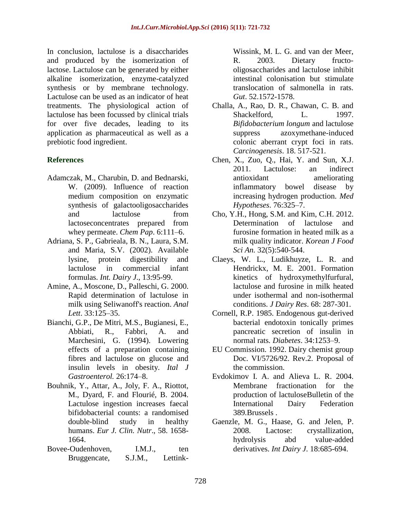In conclusion, lactulose is a disaccharides and produced by the isomerization of lactose. Lactulose can be generated by either alkaline isomerization, enzyme-catalyzed synthesis or by membrane technology. Lactulose can be used as an indicator of heat treatments. The physiological action of lactulose has been focussed by clinical trials for over five decades, leading to its application as pharmaceutical as well as a prebiotic food ingredient.

### **References**

- Adamczak, M., Charubin, D. and Bednarski, W. (2009). Influence of reaction medium composition on enzymatic synthesis of galactooligosaccharides and lactulose from lactoseconcentrates prepared from whey permeate. *Chem Pap*. 6:111–6.
- Adriana, S. P., Gabrieala, B. N., Laura, S.M. and Maria, S.V. (2002). Available lysine, protein digestibility and lactulose in commercial infant formulas. *Int. Dairy J*., 13:95-99.
- Amine, A., Moscone, D., Palleschi, G. 2000. Rapid determination of lactulose in milk using Seliwanoff's reaction. *Anal Lett*. 33:125–35.
- Bianchi, G.P., De Mitri, M.S., Bugianesi, E., Abbiati, R., Fabbri, A. and Marchesini, G. (1994). Lowering effects of a preparation containing fibres and lactulose on glucose and insulin levels in obesity. *Ital J Gastroenterol.* 26:174–8.
- Bouhnik, Y., Attar, A., Joly, F. A., Riottot, M., Dyard, F. and Flourié, B. 2004. Lactulose ingestion increases faecal bifidobacterial counts: a randomised double-blind study in healthy humans. *Eur J. Clin. Nutr*., 58. 1658- 1664.
- Bovee-Oudenhoven, I.M.J., ten Bruggencate, S.J.M., Lettink-

Wissink, M. L. G. and van der Meer, R. 2003. Dietary fructooligosaccharides and lactulose inhibit intestinal colonisation but stimulate translocation of salmonella in rats. *Gut*. 52.1572-1578.

- Challa, A., Rao, D. R., Chawan, C. B. and Shackelford, L. 1997. *Bifidobacterium longum* and lactulose suppress azoxymethane-induced colonic aberrant crypt foci in rats. *Carcinogenesis*. 18. 517-521.
- Chen, X., Zuo, Q., Hai, Y. and Sun, X.J. 2011. Lactulose: an indirect antioxidant ameliorating inflammatory bowel disease by increasing hydrogen production. *Med Hypotheses*. 76:325–7.
- Cho, Y.H., Hong, S.M. and Kim, C.H. 2012. Determination of lactulose and furosine formation in heated milk as a milk quality indicator. *Korean J Food Sci An.* 32(5):540-544.
- Claeys, W. L., Ludikhuyze, L. R. and Hendrickx, M. E. 2001. Formation kinetics of hydroxymethylfurfural, lactulose and furosine in milk heated under isothermal and non-isothermal conditions. *J Dairy Res*. 68: 287-301.
- Cornell, R.P. 1985. Endogenous gut-derived bacterial endotoxin tonically primes pancreatic secretion of insulin in normal rats*. Diabetes*. 34:1253–9.
- EU Commission. 1992. Dairy chemist group Doc. VI/5726/92. Rev.2. Proposal of the commission.
- Evdokimov I. A. and Alieva L. R. 2004. Membrane fractionation for the production of lactuloseBulletin of the International Dairy Federation 389*.*Brussels .
- Gaenzle, M. G., Haase, G. and Jelen, P. 2008. Lactose: crystallization, hydrolysis abd value-added derivatives. *Int Dairy J*. 18:685-694.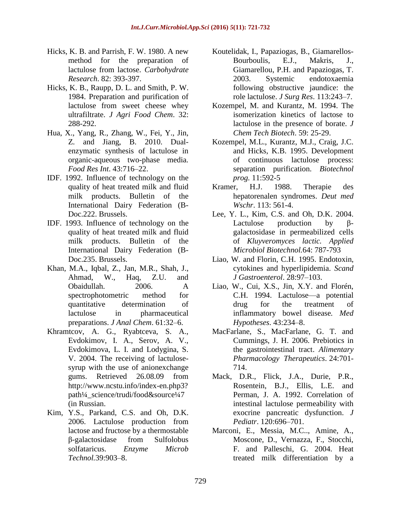- Hicks, K. B. and Parrish, F. W. 1980. A new method for the preparation of lactulose from lactose. *Carbohydrate Research*. 82: 393-397.
- Hicks, K. B., Raupp, D. L. and Smith, P. W. 1984. Preparation and purification of lactulose from sweet cheese whey ultrafiltrate. *J Agri Food Chem*. 32: 288-292.
- Hua, X., Yang, R., Zhang, W., Fei, Y., Jin, Z. and Jiang, B. 2010. Dualenzymatic synthesis of lactulose in organic-aqueous two-phase media*. Food Res Int*. 43:716–22.
- IDF. 1992. Influence of technology on the quality of heat treated milk and fluid milk products. Bulletin of the International Dairy Federation (B-Doc.222. Brussels.
- IDF. 1993. Influence of technology on the quality of heat treated milk and fluid milk products. Bulletin of the International Dairy Federation (B-Doc.235. Brussels.
- Khan, M.A., Iqbal, Z., Jan, M.R., Shah, J., Ahmad, W., Haq, Z.U. and Obaidullah. 2006. A spectrophotometric method for quantitative determination of lactulose in pharmaceutical preparations. *J Anal Chem*. 61:32–6.
- Khramtcov, A. G., Ryabtceva, S. A., Evdokimov, I. A., Serov, A. V., Evdokimova, L. I. and Lodygina, S. V. 2004. The receiving of lactulosesyrup with the use of anionexchange gums. Retrieved 26.08.09 from [http://www.ncstu.info/index-en.php3?](http://www.ncstu.info/index-en.php3) path¼\_science/trudi/food&source¼7 (in Russian.
- Kim, Y.S., Parkand, C.S. and Oh, D.K. 2006. Lactulose production from lactose and fructose by a thermostable β-galactosidase from Sulfolobus solfataricus. *Enzyme Microb Technol.*39:903–8.
- Koutelidak, I., Papaziogas, B., Giamarellos-Bourboulis, E.J., Makris, J., Giamarellou, P.H. and Papaziogas, T. 2003. Systemic endotoxaemia following obstructive jaundice: the role lactulose. *J Surg Res*. 113:243–7.
- Kozempel, M. and Kurantz, M. 1994. The isomerization kinetics of lactose to lactulose in the presence of borate. *J Chem Tech Biotech*. 59: 25-29.
- Kozempel, M.L., Kurantz, M.J., Craig, J.C. and Hicks, K.B. 1995. Development of continuous lactulose process: separation purification. *Biotechnol prog.* 11:592-5
- Kramer, H.J. 1988. Therapie des hepatorenalen syndromes. *Deut med Wschr*. 113: 561-4.
- Lee, Y. L., Kim, C.S. and Oh, D.K. 2004. Lactulose production by βgalactosidase in permeabilized cells of *Kluyveromyces lactic. Applied Microbiol Biotechnol.*64: 787-793
- Liao, W. and Florin, C.H. 1995. Endotoxin, cytokines and hyperlipidemia. *Scand J Gastroenterol*. 28:97–103.
- Liao, W., Cui, X.S., Jin, X.Y. and Florén, C.H. 1994. Lactulose—a potential drug for the treatment of inflammatory bowel disease*. Med Hypotheses*. 43:234–8.
- MacFarlane, S., MacFarlane, G. T. and Cummings, J. H. 2006. Prebiotics in the gastrointestinal tract. *Alimentary Pharmacology Therapeutics*. 24:701- 714.
- Mack, D.R., Flick, J.A., Durie, P.R., Rosentein, B.J., Ellis, L.E. and Perman, J. A. 1992. Correlation of intestinal lactulose permeability with exocrine pancreatic dysfunction. *J Pediatr*. 120:696–701.
- Marconi, E., Messia, M.C.., Amine, A., Moscone, D., Vernazza, F., Stocchi, F. and Palleschi, G. 2004. Heat treated milk differentiation by a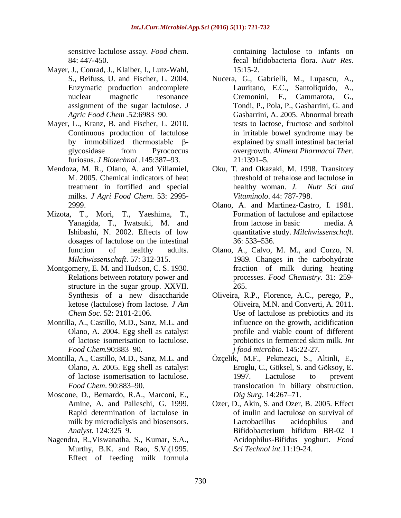sensitive lactulose assay. *Food chem.*  84: 447-450.

- Mayer, J., Conrad, J., Klaiber, I., Lutz-Wahl, S., Beifuss, U. and Fischer, L. 2004. Enzymatic production andcomplete nuclear magnetic resonance assignment of the sugar lactulose. *J Agric Food Chem .*52:6983–90.
- Mayer, L., Kranz, B. and Fischer, L. 2010. Continuous production of lactulose by immobilized thermostable βglycosidase from Pyrococcus furiosus. *J Biotechnol* .145:387–93.
- Mendoza, M. R., Olano, A. and Villamiel, M. 2005. Chemical indicators of heat treatment in fortified and special milks. *J Agri Food Chem*. 53: 2995- 2999.
- Mizota, T., Mori, T., Yaeshima, T., Yanagida, T., Iwatsuki, M. and Ishibashi, N. 2002. Effects of low dosages of lactulose on the intestinal function of healthy adults. *Milchwissenschaft*. 57: 312-315.
- Montgomery, E. M. and Hudson, C. S. 1930. Relations between rotatory power and structure in the sugar group. XXVII. Synthesis of a new disaccharide ketose (lactulose) from lactose. *J Am Chem Soc*. 52: 2101-2106.
- Montilla, A., Castillo, M.D., Sanz, M.L. and Olano, A. 2004. Egg shell as catalyst of lactose isomerisation to lactulose. *Food Chem.*90:883–90.
- Montilla, A., Castillo, M.D., Sanz, M.L. and Olano, A. 2005. Egg shell as catalyst of lactose isomerisation to lactulose. *Food Chem*. 90:883–90.
- Moscone, D., Bernardo, R.A., Marconi, E., Amine, A. and Palleschi, G. 1999. Rapid determination of lactulose in milk by microdialysis and biosensors. *Analyst*. 124:325–9.
- Nagendra, R.,Viswanatha, S., Kumar, S.A., Murthy, B.K. and Rao, S.V.(1995. Effect of feeding milk formula

containing lactulose to infants on fecal bifidobacteria flora. *Nutr Res.*   $15:15-2.$ 

- Nucera, G., Gabrielli, M., Lupascu, A., Lauritano, E.C., Santoliquido, A., Cremonini, F., Cammarota, G., Tondi, P., Pola, P., Gasbarrini, G. and Gasbarrini, A. 2005. Abnormal breath tests to lactose, fructose and sorbitol in irritable bowel syndrome may be explained by small intestinal bacterial overgrowth. *Aliment Pharmacol Ther.*  21:1391–5.
- Oku, T. and Okazaki, M. 1998. Transitory threshold of trehalose and lactulose in healthy woman. *J. Nutr Sci and Vitaminolo*. 44: 787-798.
- Olano, A. and Martinez-Castro, I. 1981. Formation of lactulose and epilactose from lactose in basic media. A quantitative study. *Milchwissenschaft*. 36: 533–536.
- Olano, A., Calvo, M. M., and Corzo, N. 1989. Changes in the carbohydrate fraction of milk during heating processes. *Food Chemistry*. 31: 259- 265.
- Oliveira, R.P., Florence, A.C., perego, P., Oliveira, M.N. and Converti, A. 2011. Use of lactulose as prebiotics and its influence on the growth, acidification profile and viable count of different probiotics in fermented skim milk. *Int j food microbio.* 145:22-27.
- Özçelik, M.F., Pekmezci, S., Altinli, E., Eroglu, C., Göksel, S. and Göksoy, E. 1997. Lactulose to prevent translocation in biliary obstruction. *Dig Surg*. 14:267–71.
- Ozer, D., Akin, S. and Ozer, B. 2005. Effect of inulin and lactulose on survival of Lactobacillus acidophilus and Bifidobacterium bifidum BB-02 I Acidophilus-Bifidus yoghurt. *Food Sci Technol int.*11:19-24.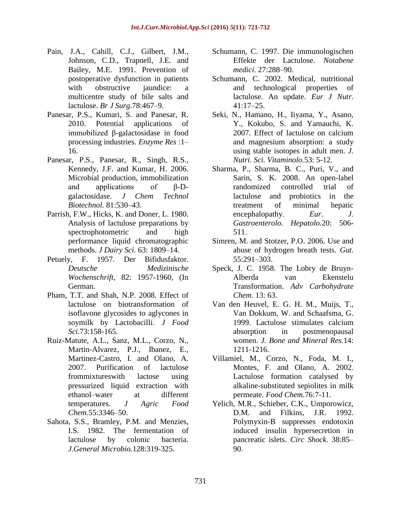- Pain, J.A., Cahill, C.J., Gilbert, J.M., Johnson, C.D., Trapnell, J.E. and Bailey, M.E. 1991. Prevention of postoperative dysfunction in patients with obstructive jaundice: a multicentre study of bile salts and lactulose. *Br J Surg*.78:467–9.
- Panesar, P.S., Kumari, S. and Panesar, R. 2010. Potential applications of immobilized β-galactosidase in food processing industries. *Enzyme Res* :1– 16.
- Panesar, P.S., Panesar, R., Singh, R.S., Kennedy, J.F. and Kumar, H. 2006. Microbial production, immobilization and applications of β-Dgalactosidase. *J Chem Technol Biotechnol.* 81:530–43.
- Parrish, F.W., Hicks, K. and Doner, L. 1980. Analysis of lactulose preparations by spectrophotometric and high performance liquid chromatographic methods. *J Dairy Sci*. 63: 1809–14.
- Petuely, F. 1957. Der Bifidusfaktor. *Deutsche Medizinische Wochenschrift*, 82: 1957-1960, (In German.
- Pham, T.T. and Shah, N.P. 2008. Effect of lactulose on biotransformation of isoflavone glycosides to aglycones in soymilk by Lactobacilli. *J Food Sci.*73:158-165.
- Ruiz-Matute, A.L., Sanz, M.L., Corzo, N., Martin-Alvarez, P.J., Ibanez, E., Martinez-Castro, I. and Olano, A. 2007. Purification of lactulose frommixtureswith lactose using pressurized liquid extraction with ethanol–water at different temperatures. *J Agric Food Chem.*55:3346–50.
- Sahota, S.S., Bramley, P.M. and Menzies, I.S. 1982. The fermentation of lactulose by colonic bacteria. *J.General Microbio.*128:319-325.
- Schumann, C. 1997. Die immunologischen Effekte der Lactulose. *Notabene medici*. 27:288–90.
- Schumann, C. 2002. Medical, nutritional and technological properties of lactulose. An update. *Eur J Nutr*. 41:17–25.
- Seki, N., Hamano, H., Iiyama, Y., Asano, Y., Kokubo, S. and Yamauchi, K. 2007. Effect of lactulose on calcium and magnesium absorption: a study using stable isotopes in adult men. *J. Nutri. Sci. Vitaminolo.*53: 5-12.
- Sharma, P., Sharma, B. C., Puri, V., and Sarin, S. K. 2008. An open-label randomized controlled trial of lactulose and probiotics in the treatment of minimal hepatic encephalopathy. *Eur. J. Gastroenterolo. Hepatolo.*20: 506- 511.
- Simren, M. and Stotzer, P.O. 2006. Use and abuse of hydrogen breath tests. *Gut*. 55:291–303.
- Speck, J. C. 1958. The Lobry de Bruyn-Alberda van Ekenstelu Transformation. *Adv Carbohydrate Chem*. 13: 63.
- Van den Heuvel, E. G. H. M., Muijs, T., Van Dokkum, W. and Schaafsma, G. 1999. Lactulose stimulates calcium absorption in postmenopausal women. *J. Bone and Mineral Res.*14: 1211-1216.
- Villamiel, M., Corzo, N., Foda, M. I., Montes, F. and Olano, A. 2002. Lactulose formation catalysed by alkaline-substituted sepiolites in milk permeate. *Food Chem.*76:7-11.
- Yelich, M.R., Schieber, C.K., Umporowicz, D.M. and Filkins, J.R. 1992. Polymyxin-B suppresses endotoxin induced insulin hypersecretion in pancreatic islets. *Circ Shock*. 38:85– 90.